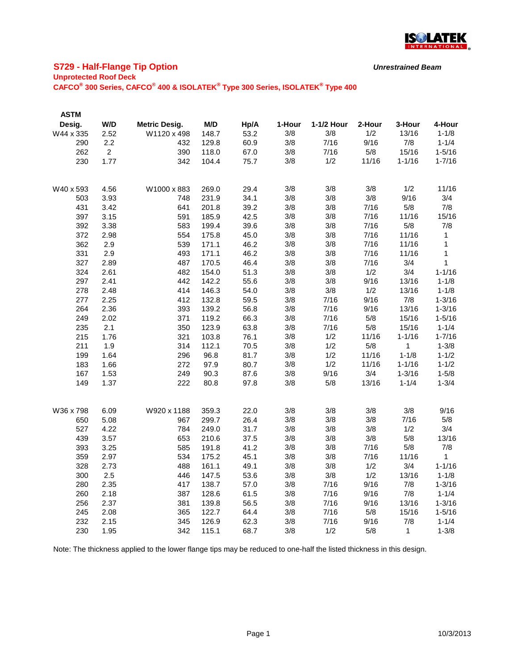

# **S729 - Half-Flange Tip Option**

### **Unprotected Roof Deck**

**CAFCO® 300 Series, CAFCO® 400 & ISOLATEK® Type 300 Series, ISOLATEK® Type 400**

| <b>ASTM</b> |                |                      |       |      |        |            |        |            |              |
|-------------|----------------|----------------------|-------|------|--------|------------|--------|------------|--------------|
| Desig.      | W/D            | <b>Metric Desig.</b> | M/D   | Hp/A | 1-Hour | 1-1/2 Hour | 2-Hour | 3-Hour     | 4-Hour       |
| W44 x 335   | 2.52           | W1120 x 498          | 148.7 | 53.2 | 3/8    | 3/8        | 1/2    | 13/16      | $1 - 1/8$    |
| 290         | 2.2            | 432                  | 129.8 | 60.9 | 3/8    | 7/16       | 9/16   | 7/8        | $1 - 1/4$    |
| 262         | $\overline{2}$ | 390                  | 118.0 | 67.0 | 3/8    | 7/16       | 5/8    | 15/16      | $1 - 5/16$   |
| 230         | 1.77           | 342                  | 104.4 | 75.7 | 3/8    | 1/2        | 11/16  | $1 - 1/16$ | $1 - 7/16$   |
|             |                |                      |       |      |        |            |        |            |              |
| W40 x 593   | 4.56           | W1000 x 883          | 269.0 | 29.4 | 3/8    | 3/8        | 3/8    | 1/2        | 11/16        |
| 503         | 3.93           | 748                  | 231.9 | 34.1 | 3/8    | 3/8        | 3/8    | 9/16       | 3/4          |
| 431         | 3.42           | 641                  | 201.8 | 39.2 | 3/8    | 3/8        | 7/16   | 5/8        | 7/8          |
| 397         | 3.15           | 591                  | 185.9 | 42.5 | 3/8    | 3/8        | 7/16   | 11/16      | 15/16        |
| 392         | 3.38           | 583                  | 199.4 | 39.6 | 3/8    | 3/8        | 7/16   | 5/8        | 7/8          |
| 372         | 2.98           | 554                  | 175.8 | 45.0 | 3/8    | 3/8        | 7/16   | 11/16      | $\mathbf{1}$ |
| 362         | 2.9            | 539                  | 171.1 | 46.2 | 3/8    | 3/8        | 7/16   | 11/16      | 1            |
| 331         | 2.9            | 493                  | 171.1 | 46.2 | 3/8    | 3/8        | 7/16   | 11/16      | 1            |
| 327         | 2.89           | 487                  | 170.5 | 46.4 | 3/8    | 3/8        | 7/16   | 3/4        | 1            |
| 324         | 2.61           | 482                  | 154.0 | 51.3 | 3/8    | 3/8        | 1/2    | 3/4        | $1 - 1/16$   |
| 297         | 2.41           | 442                  | 142.2 | 55.6 | 3/8    | 3/8        | 9/16   | 13/16      | $1 - 1/8$    |
| 278         | 2.48           | 414                  | 146.3 | 54.0 | 3/8    | 3/8        | 1/2    | 13/16      | $1 - 1/8$    |
| 277         | 2.25           | 412                  | 132.8 | 59.5 | 3/8    | 7/16       | 9/16   | 7/8        | $1 - 3/16$   |
| 264         | 2.36           | 393                  | 139.2 | 56.8 | 3/8    | 7/16       | 9/16   | 13/16      | $1 - 3/16$   |
| 249         | 2.02           | 371                  | 119.2 | 66.3 | 3/8    | 7/16       | 5/8    | 15/16      | $1 - 5/16$   |
| 235         | 2.1            | 350                  | 123.9 | 63.8 | 3/8    | 7/16       | 5/8    | 15/16      | $1 - 1/4$    |
| 215         | 1.76           | 321                  | 103.8 | 76.1 | 3/8    | 1/2        | 11/16  | $1 - 1/16$ | $1 - 7/16$   |
| 211         | 1.9            | 314                  | 112.1 | 70.5 | 3/8    | 1/2        | 5/8    | 1          | $1 - 3/8$    |
| 199         | 1.64           | 296                  | 96.8  | 81.7 | 3/8    | 1/2        | 11/16  | $1 - 1/8$  | $1 - 1/2$    |
| 183         | 1.66           | 272                  | 97.9  | 80.7 | 3/8    | 1/2        | 11/16  | $1 - 1/16$ | $1 - 1/2$    |
| 167         | 1.53           | 249                  | 90.3  | 87.6 | 3/8    | 9/16       | 3/4    | $1 - 3/16$ | $1 - 5/8$    |
| 149         | 1.37           | 222                  | 80.8  | 97.8 | 3/8    | 5/8        | 13/16  | $1 - 1/4$  | $1 - 3/4$    |
|             |                |                      |       |      |        |            |        |            |              |
| W36 x 798   | 6.09           | W920 x 1188          | 359.3 | 22.0 | 3/8    | 3/8        | 3/8    | 3/8        | 9/16         |
| 650         | 5.08           | 967                  | 299.7 | 26.4 | 3/8    | 3/8        | 3/8    | 7/16       | 5/8          |
| 527         | 4.22           | 784                  | 249.0 | 31.7 | 3/8    | 3/8        | 3/8    | 1/2        | 3/4          |
| 439         | 3.57           | 653                  | 210.6 | 37.5 | 3/8    | 3/8        | 3/8    | 5/8        | 13/16        |
| 393         | 3.25           | 585                  | 191.8 | 41.2 | 3/8    | 3/8        | 7/16   | 5/8        | 7/8          |
| 359         | 2.97           | 534                  | 175.2 | 45.1 | 3/8    | 3/8        | 7/16   | 11/16      | $\mathbf{1}$ |
| 328         | 2.73           | 488                  | 161.1 | 49.1 | 3/8    | 3/8        | 1/2    | 3/4        | $1 - 1/16$   |
| 300         | 2.5            | 446                  | 147.5 | 53.6 | 3/8    | 3/8        | 1/2    | 13/16      | $1 - 1/8$    |
| 280         | 2.35           | 417                  | 138.7 | 57.0 | 3/8    | 7/16       | 9/16   | 7/8        | $1 - 3/16$   |
| 260         | 2.18           | 387                  | 128.6 | 61.5 | 3/8    | 7/16       | 9/16   | 7/8        | $1 - 1/4$    |
| 256         | 2.37           | 381                  | 139.8 | 56.5 | 3/8    | 7/16       | 9/16   | 13/16      | $1 - 3/16$   |
| 245         | 2.08           | 365                  | 122.7 | 64.4 | 3/8    | 7/16       | 5/8    | 15/16      | $1 - 5/16$   |
| 232         | 2.15           | 345                  | 126.9 | 62.3 | 3/8    | 7/16       | 9/16   | 7/8        | $1 - 1/4$    |
| 230         | 1.95           | 342                  | 115.1 | 68.7 | 3/8    | 1/2        | 5/8    | 1          | $1 - 3/8$    |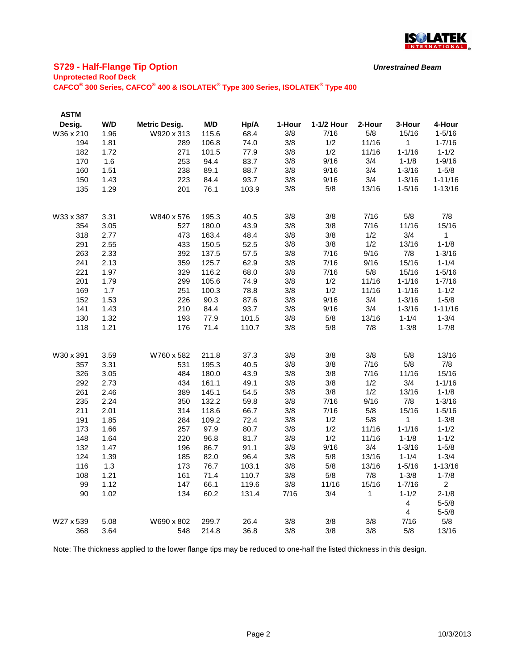

# **S729 - Half-Flange Tip Option**

### **Unprotected Roof Deck**

**CAFCO® 300 Series, CAFCO® 400 & ISOLATEK® Type 300 Series, ISOLATEK® Type 400**

| <b>ASTM</b> |      |                      |       |       |        |            |        |                         |                |
|-------------|------|----------------------|-------|-------|--------|------------|--------|-------------------------|----------------|
| Desig.      | W/D  | <b>Metric Desig.</b> | M/D   | Hp/A  | 1-Hour | 1-1/2 Hour | 2-Hour | 3-Hour                  | 4-Hour         |
| W36 x 210   | 1.96 | W920 x 313           | 115.6 | 68.4  | 3/8    | 7/16       | 5/8    | 15/16                   | $1 - 5/16$     |
| 194         | 1.81 | 289                  | 106.8 | 74.0  | 3/8    | 1/2        | 11/16  | 1                       | $1 - 7/16$     |
| 182         | 1.72 | 271                  | 101.5 | 77.9  | 3/8    | 1/2        | 11/16  | $1 - 1/16$              | $1 - 1/2$      |
| 170         | 1.6  | 253                  | 94.4  | 83.7  | 3/8    | 9/16       | 3/4    | $1 - 1/8$               | $1 - 9/16$     |
| 160         | 1.51 | 238                  | 89.1  | 88.7  | 3/8    | 9/16       | 3/4    | $1 - 3/16$              | $1 - 5/8$      |
| 150         | 1.43 | 223                  | 84.4  | 93.7  | 3/8    | 9/16       | 3/4    | $1 - 3/16$              | $1 - 11/16$    |
| 135         | 1.29 | 201                  | 76.1  | 103.9 | 3/8    | 5/8        | 13/16  | $1 - 5/16$              | $1 - 13/16$    |
| W33 x 387   | 3.31 | W840 x 576           | 195.3 | 40.5  | 3/8    | 3/8        | 7/16   | 5/8                     | 7/8            |
| 354         | 3.05 | 527                  | 180.0 | 43.9  | 3/8    | 3/8        | 7/16   | 11/16                   | 15/16          |
| 318         | 2.77 | 473                  | 163.4 | 48.4  | 3/8    | 3/8        | 1/2    | 3/4                     | $\mathbf{1}$   |
| 291         | 2.55 | 433                  | 150.5 | 52.5  | 3/8    | 3/8        | 1/2    | 13/16                   | $1 - 1/8$      |
| 263         | 2.33 | 392                  | 137.5 | 57.5  | 3/8    | 7/16       | 9/16   | 7/8                     | $1 - 3/16$     |
| 241         | 2.13 | 359                  | 125.7 | 62.9  | 3/8    | 7/16       | 9/16   | 15/16                   | $1 - 1/4$      |
| 221         | 1.97 | 329                  | 116.2 | 68.0  | 3/8    | 7/16       | 5/8    | 15/16                   | $1 - 5/16$     |
| 201         | 1.79 | 299                  | 105.6 | 74.9  | 3/8    | 1/2        | 11/16  | $1 - 1/16$              | $1 - 7/16$     |
| 169         | 1.7  | 251                  | 100.3 | 78.8  | 3/8    | 1/2        | 11/16  | $1 - 1/16$              | $1 - 1/2$      |
| 152         | 1.53 | 226                  | 90.3  | 87.6  | 3/8    | 9/16       | 3/4    | $1 - 3/16$              | $1 - 5/8$      |
| 141         | 1.43 | 210                  | 84.4  | 93.7  | 3/8    | 9/16       | 3/4    | $1 - 3/16$              | $1 - 11/16$    |
| 130         | 1.32 | 193                  | 77.9  | 101.5 | 3/8    | 5/8        | 13/16  | $1 - 1/4$               | $1 - 3/4$      |
| 118         | 1.21 | 176                  | 71.4  | 110.7 | 3/8    | 5/8        | 7/8    | $1 - 3/8$               | $1 - 7/8$      |
| W30 x 391   | 3.59 | W760 x 582           | 211.8 | 37.3  | 3/8    | 3/8        | 3/8    | 5/8                     | 13/16          |
| 357         | 3.31 | 531                  | 195.3 | 40.5  | 3/8    | 3/8        | 7/16   | 5/8                     | 7/8            |
| 326         | 3.05 | 484                  | 180.0 | 43.9  | 3/8    | 3/8        | 7/16   | 11/16                   | 15/16          |
| 292         | 2.73 | 434                  | 161.1 | 49.1  | 3/8    | 3/8        | 1/2    | 3/4                     | $1 - 1/16$     |
| 261         | 2.46 | 389                  | 145.1 | 54.5  | 3/8    | 3/8        | 1/2    | 13/16                   | $1 - 1/8$      |
| 235         | 2.24 | 350                  | 132.2 | 59.8  | 3/8    | 7/16       | 9/16   | 7/8                     | $1 - 3/16$     |
| 211         | 2.01 | 314                  | 118.6 | 66.7  | 3/8    | 7/16       | 5/8    | 15/16                   | $1 - 5/16$     |
| 191         | 1.85 | 284                  | 109.2 | 72.4  | 3/8    | 1/2        | 5/8    | 1                       | $1 - 3/8$      |
| 173         | 1.66 | 257                  | 97.9  | 80.7  | 3/8    | 1/2        | 11/16  | $1 - 1/16$              | $1 - 1/2$      |
| 148         | 1.64 | 220                  | 96.8  | 81.7  | 3/8    | 1/2        | 11/16  | $1 - 1/8$               | $1 - 1/2$      |
| 132         | 1.47 | 196                  | 86.7  | 91.1  | 3/8    | 9/16       | 3/4    | $1 - 3/16$              | $1 - 5/8$      |
| 124         | 1.39 | 185                  | 82.0  | 96.4  | 3/8    | 5/8        | 13/16  | $1 - 1/4$               | $1 - 3/4$      |
| 116         | 1.3  | 173                  | 76.7  | 103.1 | 3/8    | 5/8        | 13/16  | $1 - 5/16$              | $1 - 13/16$    |
| 108         | 1.21 | 161                  | 71.4  | 110.7 | 3/8    | 5/8        | 7/8    | $1 - 3/8$               | $1 - 7/8$      |
| 99          | 1.12 | 147                  | 66.1  | 119.6 | 3/8    | 11/16      | 15/16  | $1 - 7/16$              | $\overline{2}$ |
| 90          | 1.02 | 134                  | 60.2  | 131.4 | 7/16   | 3/4        | 1      | $1 - 1/2$               | $2 - 1/8$      |
|             |      |                      |       |       |        |            |        | $\overline{\mathbf{4}}$ | $5 - 5/8$      |
|             |      |                      |       |       |        |            |        | 4                       | $5 - 5/8$      |
| W27 x 539   | 5.08 | W690 x 802           | 299.7 | 26.4  | 3/8    | 3/8        | 3/8    | 7/16                    | 5/8            |
| 368         | 3.64 | 548                  | 214.8 | 36.8  | 3/8    | 3/8        | 3/8    | 5/8                     | 13/16          |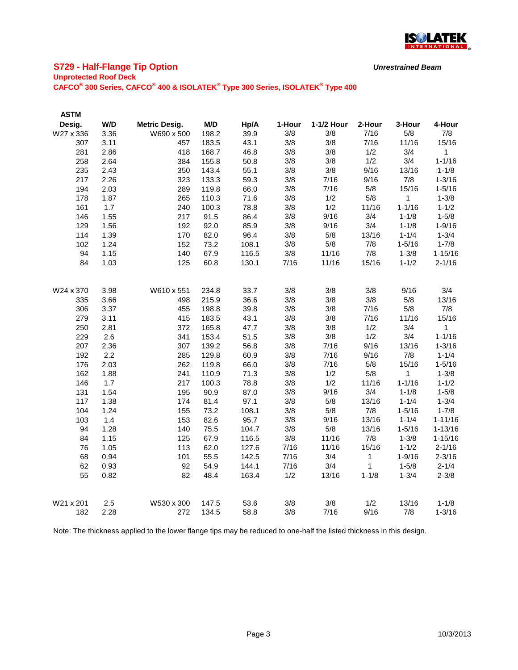

# **S729 - Half-Flange Tip Option**

### **Unprotected Roof Deck**

**CAFCO® 300 Series, CAFCO® 400 & ISOLATEK® Type 300 Series, ISOLATEK® Type 400**

| <b>ASTM</b> |      |                      |       |       |        |            |           |            |              |
|-------------|------|----------------------|-------|-------|--------|------------|-----------|------------|--------------|
| Desig.      | W/D  | <b>Metric Desig.</b> | M/D   | Hp/A  | 1-Hour | 1-1/2 Hour | 2-Hour    | 3-Hour     | 4-Hour       |
| W27 x 336   | 3.36 | W690 x 500           | 198.2 | 39.9  | 3/8    | 3/8        | 7/16      | 5/8        | 7/8          |
| 307         | 3.11 | 457                  | 183.5 | 43.1  | 3/8    | 3/8        | 7/16      | 11/16      | 15/16        |
| 281         | 2.86 | 418                  | 168.7 | 46.8  | 3/8    | 3/8        | 1/2       | 3/4        | 1            |
| 258         | 2.64 | 384                  | 155.8 | 50.8  | 3/8    | 3/8        | 1/2       | 3/4        | $1 - 1/16$   |
| 235         | 2.43 | 350                  | 143.4 | 55.1  | 3/8    | 3/8        | 9/16      | 13/16      | $1 - 1/8$    |
| 217         | 2.26 | 323                  | 133.3 | 59.3  | 3/8    | 7/16       | 9/16      | 7/8        | $1 - 3/16$   |
| 194         | 2.03 | 289                  | 119.8 | 66.0  | 3/8    | 7/16       | 5/8       | 15/16      | $1 - 5/16$   |
| 178         | 1.87 | 265                  | 110.3 | 71.6  | 3/8    | 1/2        | 5/8       | 1          | $1 - 3/8$    |
| 161         | 1.7  | 240                  | 100.3 | 78.8  | 3/8    | 1/2        | 11/16     | $1 - 1/16$ | $1 - 1/2$    |
| 146         | 1.55 | 217                  | 91.5  | 86.4  | 3/8    | 9/16       | 3/4       | $1 - 1/8$  | $1 - 5/8$    |
| 129         | 1.56 | 192                  | 92.0  | 85.9  | 3/8    | 9/16       | 3/4       | $1 - 1/8$  | $1 - 9/16$   |
| 114         | 1.39 | 170                  | 82.0  | 96.4  | 3/8    | 5/8        | 13/16     | $1 - 1/4$  | $1 - 3/4$    |
| 102         | 1.24 | 152                  | 73.2  | 108.1 | 3/8    | 5/8        | 7/8       | $1 - 5/16$ | $1 - 7/8$    |
| 94          | 1.15 | 140                  | 67.9  | 116.5 | 3/8    | 11/16      | 7/8       | $1 - 3/8$  | $1 - 15/16$  |
| 84          | 1.03 | 125                  | 60.8  | 130.1 | 7/16   | 11/16      | 15/16     | $1 - 1/2$  | $2 - 1/16$   |
| W24 x 370   | 3.98 | W610 x 551           | 234.8 | 33.7  | 3/8    | 3/8        | 3/8       | 9/16       | 3/4          |
| 335         | 3.66 | 498                  | 215.9 | 36.6  | 3/8    | 3/8        | 3/8       | 5/8        | 13/16        |
| 306         | 3.37 | 455                  | 198.8 | 39.8  | 3/8    | 3/8        | 7/16      | 5/8        | 7/8          |
| 279         | 3.11 | 415                  | 183.5 | 43.1  | 3/8    | 3/8        | 7/16      | 11/16      | 15/16        |
| 250         | 2.81 | 372                  | 165.8 | 47.7  | 3/8    | 3/8        | 1/2       | 3/4        | $\mathbf{1}$ |
| 229         | 2.6  | 341                  | 153.4 | 51.5  | 3/8    | 3/8        | 1/2       | 3/4        | $1 - 1/16$   |
| 207         | 2.36 | 307                  | 139.2 | 56.8  | 3/8    | 7/16       | 9/16      | 13/16      | $1 - 3/16$   |
| 192         | 2.2  | 285                  | 129.8 | 60.9  | 3/8    | 7/16       | 9/16      | 7/8        | $1 - 1/4$    |
| 176         | 2.03 | 262                  | 119.8 | 66.0  | 3/8    | 7/16       | 5/8       | 15/16      | $1 - 5/16$   |
| 162         | 1.88 | 241                  | 110.9 | 71.3  | 3/8    | 1/2        | 5/8       | 1          | $1 - 3/8$    |
| 146         | 1.7  | 217                  | 100.3 | 78.8  | 3/8    | 1/2        | 11/16     | $1 - 1/16$ | $1 - 1/2$    |
| 131         | 1.54 | 195                  | 90.9  | 87.0  | 3/8    | 9/16       | 3/4       | $1 - 1/8$  | $1 - 5/8$    |
| 117         | 1.38 | 174                  | 81.4  | 97.1  | 3/8    | 5/8        | 13/16     | $1 - 1/4$  | $1 - 3/4$    |
| 104         | 1.24 | 155                  | 73.2  | 108.1 | 3/8    | 5/8        | 7/8       | $1 - 5/16$ | $1 - 7/8$    |
| 103         | 1.4  | 153                  | 82.6  | 95.7  | 3/8    | 9/16       | 13/16     | $1 - 1/4$  | $1 - 11/16$  |
| 94          | 1.28 | 140                  | 75.5  | 104.7 | 3/8    | 5/8        | 13/16     | $1 - 5/16$ | $1 - 13/16$  |
| 84          | 1.15 | 125                  | 67.9  | 116.5 | 3/8    | 11/16      | 7/8       | $1 - 3/8$  | $1 - 15/16$  |
| 76          | 1.05 | 113                  | 62.0  | 127.6 | 7/16   | 11/16      | 15/16     | $1 - 1/2$  | $2 - 1/16$   |
| 68          | 0.94 | 101                  | 55.5  | 142.5 | 7/16   | 3/4        | 1         | $1 - 9/16$ | $2 - 3/16$   |
| 62          | 0.93 | 92                   | 54.9  | 144.1 | 7/16   | 3/4        | 1         | $1 - 5/8$  | $2 - 1/4$    |
| 55          | 0.82 | 82                   | 48.4  | 163.4 | 1/2    | 13/16      | $1 - 1/8$ | $1 - 3/4$  | $2 - 3/8$    |
| W21 x 201   | 2.5  | W530 x 300           | 147.5 | 53.6  | 3/8    | 3/8        | 1/2       | 13/16      | $1 - 1/8$    |
| 182         | 2.28 | 272                  | 134.5 | 58.8  | 3/8    | 7/16       | 9/16      | 7/8        | $1 - 3/16$   |

Note: The thickness applied to the lower flange tips may be reduced to one-half the listed thickness in this design.

*Unrestrained Beam*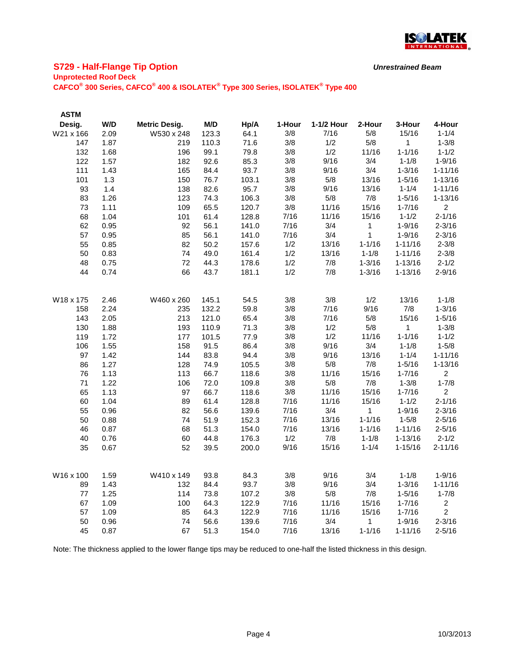

# **S729 - Half-Flange Tip Option**

#### **Unprotected Roof Deck**

**CAFCO® 300 Series, CAFCO® 400 & ISOLATEK® Type 300 Series, ISOLATEK® Type 400**

| <b>ASTM</b> |      |                      |       |       |        |            |              |             |                |
|-------------|------|----------------------|-------|-------|--------|------------|--------------|-------------|----------------|
| Desig.      | W/D  | <b>Metric Desig.</b> | M/D   | Hp/A  | 1-Hour | 1-1/2 Hour | 2-Hour       | 3-Hour      | 4-Hour         |
| W21 x 166   | 2.09 | W530 x 248           | 123.3 | 64.1  | 3/8    | 7/16       | 5/8          | 15/16       | $1 - 1/4$      |
| 147         | 1.87 | 219                  | 110.3 | 71.6  | 3/8    | 1/2        | 5/8          | 1           | $1 - 3/8$      |
| 132         | 1.68 | 196                  | 99.1  | 79.8  | 3/8    | 1/2        | 11/16        | $1 - 1/16$  | $1 - 1/2$      |
| 122         | 1.57 | 182                  | 92.6  | 85.3  | 3/8    | 9/16       | 3/4          | $1 - 1/8$   | $1 - 9/16$     |
| 111         | 1.43 | 165                  | 84.4  | 93.7  | 3/8    | 9/16       | 3/4          | $1 - 3/16$  | $1 - 11/16$    |
| 101         | 1.3  | 150                  | 76.7  | 103.1 | 3/8    | 5/8        | 13/16        | $1 - 5/16$  | $1 - 13/16$    |
| 93          | 1.4  | 138                  | 82.6  | 95.7  | 3/8    | 9/16       | 13/16        | $1 - 1/4$   | $1 - 11/16$    |
| 83          | 1.26 | 123                  | 74.3  | 106.3 | 3/8    | 5/8        | 7/8          | $1 - 5/16$  | $1 - 13/16$    |
| 73          | 1.11 | 109                  | 65.5  | 120.7 | 3/8    | 11/16      | 15/16        | $1 - 7/16$  | $\overline{2}$ |
| 68          | 1.04 | 101                  | 61.4  | 128.8 | 7/16   | 11/16      | 15/16        | $1 - 1/2$   | $2 - 1/16$     |
| 62          | 0.95 | 92                   | 56.1  | 141.0 | 7/16   | 3/4        | $\mathbf{1}$ | $1 - 9/16$  | $2 - 3/16$     |
| 57          | 0.95 | 85                   | 56.1  | 141.0 | 7/16   | 3/4        | $\mathbf{1}$ | $1 - 9/16$  | $2 - 3/16$     |
| 55          | 0.85 | 82                   | 50.2  | 157.6 | 1/2    | 13/16      | $1 - 1/16$   | $1 - 11/16$ | $2 - 3/8$      |
| 50          | 0.83 | 74                   | 49.0  | 161.4 | 1/2    | 13/16      | $1 - 1/8$    | $1 - 11/16$ | $2 - 3/8$      |
| 48          | 0.75 | 72                   | 44.3  | 178.6 | 1/2    | 7/8        | $1 - 3/16$   | $1 - 13/16$ | $2 - 1/2$      |
| 44          | 0.74 | 66                   | 43.7  | 181.1 | 1/2    | 7/8        | $1 - 3/16$   | $1 - 13/16$ | $2 - 9/16$     |
| W18 x 175   | 2.46 | W460 x 260           | 145.1 | 54.5  | 3/8    | 3/8        | 1/2          | 13/16       | $1 - 1/8$      |
| 158         | 2.24 | 235                  | 132.2 | 59.8  | 3/8    | 7/16       | 9/16         | 7/8         | $1 - 3/16$     |
| 143         | 2.05 | 213                  | 121.0 | 65.4  | 3/8    | 7/16       | 5/8          | 15/16       | $1 - 5/16$     |
| 130         | 1.88 | 193                  | 110.9 | 71.3  | 3/8    | 1/2        | 5/8          | 1           | $1 - 3/8$      |
| 119         | 1.72 | 177                  | 101.5 | 77.9  | 3/8    | 1/2        | 11/16        | $1 - 1/16$  | $1 - 1/2$      |
| 106         | 1.55 | 158                  | 91.5  | 86.4  | 3/8    | 9/16       | 3/4          | $1 - 1/8$   | $1 - 5/8$      |
| 97          | 1.42 | 144                  | 83.8  | 94.4  | 3/8    | 9/16       | 13/16        | $1 - 1/4$   | $1 - 11/16$    |
| 86          | 1.27 | 128                  | 74.9  | 105.5 | 3/8    | 5/8        | 7/8          | $1 - 5/16$  | $1 - 13/16$    |
| 76          | 1.13 | 113                  | 66.7  | 118.6 | 3/8    | 11/16      | 15/16        | $1 - 7/16$  | $\overline{2}$ |
| 71          | 1.22 | 106                  | 72.0  | 109.8 | 3/8    | 5/8        | 7/8          | $1 - 3/8$   | $1 - 7/8$      |
| 65          | 1.13 | 97                   | 66.7  | 118.6 | 3/8    | 11/16      | 15/16        | $1 - 7/16$  | $\overline{2}$ |
| 60          | 1.04 | 89                   | 61.4  | 128.8 | 7/16   | 11/16      | 15/16        | $1 - 1/2$   | $2 - 1/16$     |
| 55          | 0.96 | 82                   | 56.6  | 139.6 | 7/16   | 3/4        | 1            | $1 - 9/16$  | $2 - 3/16$     |
| 50          | 0.88 | 74                   | 51.9  | 152.3 | 7/16   | 13/16      | $1 - 1/16$   | $1 - 5/8$   | $2 - 5/16$     |
| 46          | 0.87 | 68                   | 51.3  | 154.0 | 7/16   | 13/16      | $1 - 1/16$   | $1 - 11/16$ | $2 - 5/16$     |
| 40          | 0.76 | 60                   | 44.8  | 176.3 | 1/2    | 7/8        | $1 - 1/8$    | $1 - 13/16$ | $2 - 1/2$      |
| 35          | 0.67 | 52                   | 39.5  | 200.0 | 9/16   | 15/16      | $1 - 1/4$    | $1 - 15/16$ | $2 - 11/16$    |
| W16 x 100   | 1.59 | W410 x 149           | 93.8  | 84.3  | 3/8    | 9/16       | 3/4          | $1 - 1/8$   | $1 - 9/16$     |
| 89          | 1.43 | 132                  | 84.4  | 93.7  | 3/8    | 9/16       | 3/4          | $1 - 3/16$  | $1 - 11/16$    |
| 77          | 1.25 | 114                  | 73.8  | 107.2 | 3/8    | 5/8        | 7/8          | $1 - 5/16$  | $1 - 7/8$      |
| 67          | 1.09 | 100                  | 64.3  | 122.9 | 7/16   | 11/16      | 15/16        | $1 - 7/16$  | $\overline{c}$ |
| 57          | 1.09 | 85                   | 64.3  | 122.9 | 7/16   | 11/16      | 15/16        | $1 - 7/16$  | $\overline{2}$ |
| 50          | 0.96 | 74                   | 56.6  | 139.6 | 7/16   | 3/4        | $\mathbf{1}$ | $1 - 9/16$  | $2 - 3/16$     |
| 45          | 0.87 | 67                   | 51.3  | 154.0 | 7/16   | 13/16      | $1 - 1/16$   | $1 - 11/16$ | $2 - 5/16$     |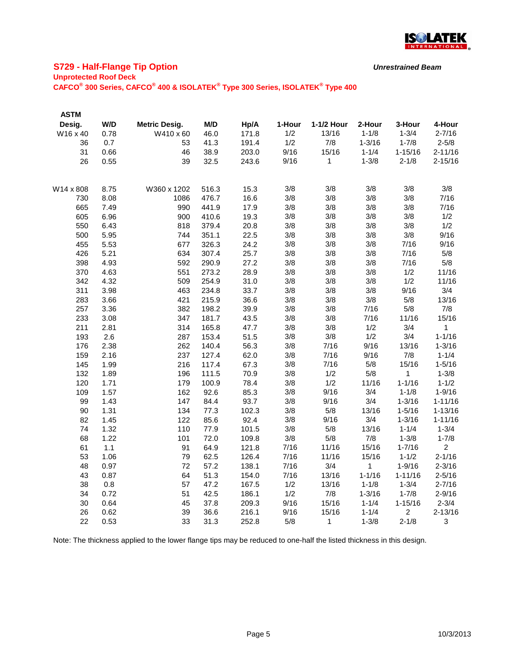

# **S729 - Half-Flange Tip Option**

### **Unprotected Roof Deck**

**CAFCO® 300 Series, CAFCO® 400 & ISOLATEK® Type 300 Series, ISOLATEK® Type 400**

| <b>ASTM</b> |      |                      |       |       |        |              |            |                |                |
|-------------|------|----------------------|-------|-------|--------|--------------|------------|----------------|----------------|
| Desig.      | W/D  | <b>Metric Desig.</b> | M/D   | Hp/A  | 1-Hour | 1-1/2 Hour   | 2-Hour     | 3-Hour         | 4-Hour         |
| W16 x 40    | 0.78 | W410 x 60            | 46.0  | 171.8 | 1/2    | 13/16        | $1 - 1/8$  | $1 - 3/4$      | $2 - 7/16$     |
| 36          | 0.7  | 53                   | 41.3  | 191.4 | 1/2    | 7/8          | $1 - 3/16$ | $1 - 7/8$      | $2 - 5/8$      |
| 31          | 0.66 | 46                   | 38.9  | 203.0 | 9/16   | 15/16        | $1 - 1/4$  | $1 - 15/16$    | $2 - 11/16$    |
| 26          | 0.55 | 39                   | 32.5  | 243.6 | 9/16   | 1            | $1 - 3/8$  | $2 - 1/8$      | $2 - 15/16$    |
| W14 x 808   | 8.75 | W360 x 1202          | 516.3 | 15.3  | 3/8    | 3/8          | 3/8        | 3/8            | 3/8            |
| 730         | 8.08 | 1086                 | 476.7 | 16.6  | 3/8    | 3/8          | 3/8        | 3/8            | 7/16           |
| 665         | 7.49 | 990                  | 441.9 | 17.9  | 3/8    | 3/8          | 3/8        | 3/8            | 7/16           |
| 605         | 6.96 | 900                  | 410.6 | 19.3  | 3/8    | 3/8          | 3/8        | 3/8            | 1/2            |
| 550         | 6.43 | 818                  | 379.4 | 20.8  | 3/8    | 3/8          | 3/8        | 3/8            | 1/2            |
| 500         | 5.95 | 744                  | 351.1 | 22.5  | 3/8    | 3/8          | 3/8        | 3/8            | 9/16           |
| 455         | 5.53 | 677                  | 326.3 | 24.2  | 3/8    | 3/8          | 3/8        | 7/16           | 9/16           |
| 426         | 5.21 | 634                  | 307.4 | 25.7  | 3/8    | 3/8          | 3/8        | 7/16           | 5/8            |
| 398         | 4.93 | 592                  | 290.9 | 27.2  | 3/8    | 3/8          | 3/8        | 7/16           | $5/8$          |
| 370         | 4.63 | 551                  | 273.2 | 28.9  | 3/8    | 3/8          | 3/8        | 1/2            | 11/16          |
| 342         | 4.32 | 509                  | 254.9 | 31.0  | 3/8    | 3/8          | 3/8        | 1/2            | 11/16          |
| 311         | 3.98 | 463                  | 234.8 | 33.7  | 3/8    | 3/8          | 3/8        | 9/16           | 3/4            |
| 283         | 3.66 | 421                  | 215.9 | 36.6  | 3/8    | 3/8          | 3/8        | 5/8            | 13/16          |
| 257         | 3.36 | 382                  | 198.2 | 39.9  | 3/8    | 3/8          | 7/16       | 5/8            | 7/8            |
| 233         | 3.08 | 347                  | 181.7 | 43.5  | 3/8    | 3/8          | 7/16       | 11/16          | 15/16          |
| 211         | 2.81 | 314                  | 165.8 | 47.7  | 3/8    | 3/8          | 1/2        | 3/4            | 1              |
| 193         | 2.6  | 287                  | 153.4 | 51.5  | 3/8    | 3/8          | 1/2        | 3/4            | $1 - 1/16$     |
| 176         | 2.38 | 262                  | 140.4 | 56.3  | 3/8    | 7/16         | 9/16       | 13/16          | $1 - 3/16$     |
| 159         | 2.16 | 237                  | 127.4 | 62.0  | 3/8    | 7/16         | 9/16       | 7/8            | $1 - 1/4$      |
| 145         | 1.99 | 216                  | 117.4 | 67.3  | 3/8    | 7/16         | 5/8        | 15/16          | $1 - 5/16$     |
| 132         | 1.89 | 196                  | 111.5 | 70.9  | 3/8    | 1/2          | 5/8        | $\mathbf{1}$   | $1 - 3/8$      |
| 120         | 1.71 | 179                  | 100.9 | 78.4  | 3/8    | 1/2          | 11/16      | $1 - 1/16$     | $1 - 1/2$      |
| 109         | 1.57 | 162                  | 92.6  | 85.3  | 3/8    | 9/16         | 3/4        | $1 - 1/8$      | $1 - 9/16$     |
| 99          | 1.43 | 147                  | 84.4  | 93.7  | 3/8    | 9/16         | 3/4        | $1 - 3/16$     | $1 - 11/16$    |
| 90          | 1.31 | 134                  | 77.3  | 102.3 | 3/8    | 5/8          | 13/16      | $1 - 5/16$     | $1 - 13/16$    |
| 82          | 1.45 | 122                  | 85.6  | 92.4  | 3/8    | 9/16         | 3/4        | $1 - 3/16$     | $1 - 11/16$    |
| 74          | 1.32 | 110                  | 77.9  | 101.5 | 3/8    | 5/8          | 13/16      | $1 - 1/4$      | $1 - 3/4$      |
| 68          | 1.22 | 101                  | 72.0  | 109.8 | 3/8    | 5/8          | 7/8        | $1 - 3/8$      | $1 - 7/8$      |
| 61          | 1.1  | 91                   | 64.9  | 121.8 | 7/16   | 11/16        | 15/16      | $1 - 7/16$     | $\overline{2}$ |
| 53          | 1.06 | 79                   | 62.5  | 126.4 | 7/16   | 11/16        | 15/16      | $1 - 1/2$      | $2 - 1/16$     |
| 48          | 0.97 | 72                   | 57.2  | 138.1 | 7/16   | 3/4          | 1          | $1 - 9/16$     | $2 - 3/16$     |
| 43          | 0.87 | 64                   | 51.3  | 154.0 | 7/16   | 13/16        | $1 - 1/16$ | $1 - 11/16$    | $2 - 5/16$     |
| 38          | 0.8  | 57                   | 47.2  | 167.5 | 1/2    | 13/16        | $1 - 1/8$  | $1 - 3/4$      | $2 - 7/16$     |
| 34          | 0.72 | 51                   | 42.5  | 186.1 | 1/2    | 7/8          | $1 - 3/16$ | $1 - 7/8$      | $2 - 9/16$     |
| 30          | 0.64 | 45                   | 37.8  | 209.3 | 9/16   | 15/16        | $1 - 1/4$  | $1 - 15/16$    | $2 - 3/4$      |
| 26          | 0.62 | 39                   | 36.6  | 216.1 | 9/16   | 15/16        | $1 - 1/4$  | $\overline{2}$ | $2 - 13/16$    |
| 22          | 0.53 | 33                   | 31.3  | 252.8 | 5/8    | $\mathbf{1}$ | $1 - 3/8$  | $2 - 1/8$      | 3              |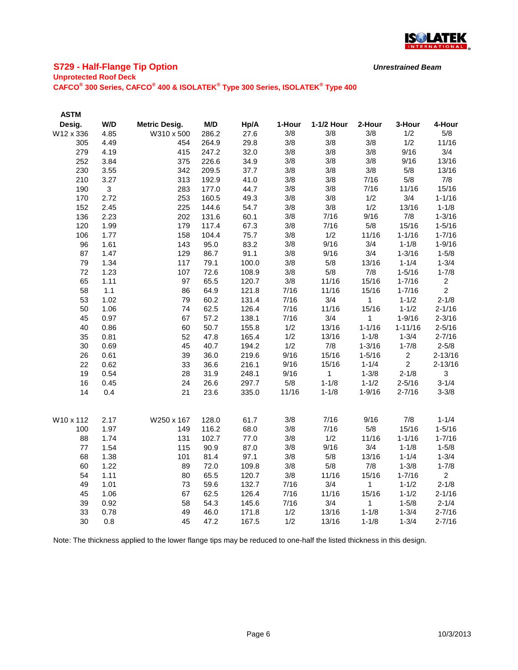

# **S729 - Half-Flange Tip Option**

#### **Unprotected Roof Deck**

**CAFCO® 300 Series, CAFCO® 400 & ISOLATEK® Type 300 Series, ISOLATEK® Type 400**

| <b>ASTM</b> |                |                      |       |       |        |            |              |                |                |
|-------------|----------------|----------------------|-------|-------|--------|------------|--------------|----------------|----------------|
| Desig.      | W/D            | <b>Metric Desig.</b> | M/D   | Hp/A  | 1-Hour | 1-1/2 Hour | 2-Hour       | 3-Hour         | 4-Hour         |
| W12 x 336   | 4.85           | W310 x 500           | 286.2 | 27.6  | 3/8    | 3/8        | 3/8          | 1/2            | 5/8            |
| 305         | 4.49           | 454                  | 264.9 | 29.8  | 3/8    | 3/8        | 3/8          | 1/2            | 11/16          |
| 279         | 4.19           | 415                  | 247.2 | 32.0  | 3/8    | 3/8        | 3/8          | 9/16           | 3/4            |
| 252         | 3.84           | 375                  | 226.6 | 34.9  | 3/8    | 3/8        | 3/8          | 9/16           | 13/16          |
| 230         | 3.55           | 342                  | 209.5 | 37.7  | 3/8    | 3/8        | $3/8$        | 5/8            | 13/16          |
| 210         | 3.27           | 313                  | 192.9 | 41.0  | 3/8    | 3/8        | 7/16         | 5/8            | 7/8            |
| 190         | 3 <sup>1</sup> | 283                  | 177.0 | 44.7  | 3/8    | 3/8        | 7/16         | 11/16          | 15/16          |
| 170         | 2.72           | 253                  | 160.5 | 49.3  | 3/8    | 3/8        | 1/2          | 3/4            | $1 - 1/16$     |
| 152         | 2.45           | 225                  | 144.6 | 54.7  | 3/8    | 3/8        | 1/2          | 13/16          | $1 - 1/8$      |
| 136         | 2.23           | 202                  | 131.6 | 60.1  | 3/8    | 7/16       | 9/16         | 7/8            | $1 - 3/16$     |
| 120         | 1.99           | 179                  | 117.4 | 67.3  | 3/8    | 7/16       | 5/8          | 15/16          | $1 - 5/16$     |
| 106         | 1.77           | 158                  | 104.4 | 75.7  | 3/8    | 1/2        | 11/16        | $1 - 1/16$     | $1 - 7/16$     |
| 96          | 1.61           | 143                  | 95.0  | 83.2  | 3/8    | 9/16       | 3/4          | $1 - 1/8$      | $1 - 9/16$     |
| 87          | 1.47           | 129                  | 86.7  | 91.1  | 3/8    | 9/16       | 3/4          | $1 - 3/16$     | $1 - 5/8$      |
| 79          | 1.34           | 117                  | 79.1  | 100.0 | 3/8    | 5/8        | 13/16        | $1 - 1/4$      | $1 - 3/4$      |
| 72          | 1.23           | 107                  | 72.6  | 108.9 | 3/8    | 5/8        | 7/8          | $1 - 5/16$     | $1 - 7/8$      |
| 65          | 1.11           | 97                   | 65.5  | 120.7 | 3/8    | 11/16      | 15/16        | $1 - 7/16$     | $\overline{2}$ |
| 58          | 1.1            | 86                   | 64.9  | 121.8 | 7/16   | 11/16      | 15/16        | $1 - 7/16$     | $\overline{2}$ |
| 53          | 1.02           | 79                   | 60.2  | 131.4 | 7/16   | 3/4        | $\mathbf{1}$ | $1 - 1/2$      | $2 - 1/8$      |
| 50          | 1.06           | 74                   | 62.5  | 126.4 | 7/16   | 11/16      | 15/16        | $1 - 1/2$      | $2 - 1/16$     |
| 45          | 0.97           | 67                   | 57.2  | 138.1 | 7/16   | 3/4        | $\mathbf{1}$ | $1 - 9/16$     | $2 - 3/16$     |
| 40          | 0.86           | 60                   | 50.7  | 155.8 | 1/2    | 13/16      | $1 - 1/16$   | $1 - 11/16$    | $2 - 5/16$     |
| 35          | 0.81           | 52                   | 47.8  | 165.4 | 1/2    | 13/16      | $1 - 1/8$    | $1 - 3/4$      | $2 - 7/16$     |
| 30          | 0.69           | 45                   | 40.7  | 194.2 | 1/2    | 7/8        | $1 - 3/16$   | $1 - 7/8$      | $2 - 5/8$      |
| 26          | 0.61           | 39                   | 36.0  | 219.6 | 9/16   | 15/16      | $1 - 5/16$   | $\overline{2}$ | $2 - 13/16$    |
| 22          | 0.62           | 33                   | 36.6  | 216.1 | 9/16   | 15/16      | $1 - 1/4$    | $\overline{2}$ | $2 - 13/16$    |
| 19          | 0.54           | 28                   | 31.9  | 248.1 | 9/16   | 1          | $1 - 3/8$    | $2 - 1/8$      | $\mathbf{3}$   |
| 16          | 0.45           | 24                   | 26.6  | 297.7 | 5/8    | $1 - 1/8$  | $1 - 1/2$    | $2 - 5/16$     | $3 - 1/4$      |
| 14          | 0.4            | 21                   | 23.6  | 335.0 | 11/16  | $1 - 1/8$  | $1 - 9/16$   | $2 - 7/16$     | $3 - 3/8$      |
| W10 x 112   | 2.17           | W250 x 167           | 128.0 | 61.7  | 3/8    | 7/16       | 9/16         | 7/8            | $1 - 1/4$      |
| 100         | 1.97           | 149                  | 116.2 | 68.0  | 3/8    | 7/16       | 5/8          | 15/16          | $1 - 5/16$     |
| 88          | 1.74           | 131                  | 102.7 | 77.0  | 3/8    | 1/2        | 11/16        | $1 - 1/16$     | $1 - 7/16$     |
| 77          | 1.54           | 115                  | 90.9  | 87.0  | 3/8    | 9/16       | 3/4          | $1 - 1/8$      | $1 - 5/8$      |
| 68          | 1.38           | 101                  | 81.4  | 97.1  | 3/8    | 5/8        | 13/16        | $1 - 1/4$      | $1 - 3/4$      |
| 60          | 1.22           | 89                   | 72.0  | 109.8 | 3/8    | 5/8        | 7/8          | $1 - 3/8$      | $1 - 7/8$      |
| 54          | 1.11           | 80                   | 65.5  | 120.7 | 3/8    | 11/16      | 15/16        | $1 - 7/16$     | $\overline{2}$ |
| 49          | 1.01           | 73                   | 59.6  | 132.7 | 7/16   | 3/4        | $\mathbf{1}$ | $1 - 1/2$      | $2 - 1/8$      |
| 45          | 1.06           | 67                   | 62.5  | 126.4 | 7/16   | 11/16      | 15/16        | $1 - 1/2$      | $2 - 1/16$     |
| 39          | 0.92           | 58                   | 54.3  | 145.6 | 7/16   | 3/4        | 1            | $1 - 5/8$      | $2 - 1/4$      |
| 33          | 0.78           | 49                   | 46.0  | 171.8 | 1/2    | 13/16      | $1 - 1/8$    | $1 - 3/4$      | $2 - 7/16$     |
| 30          | 0.8            | 45                   | 47.2  | 167.5 | 1/2    | 13/16      | $1 - 1/8$    | $1 - 3/4$      | $2 - 7/16$     |